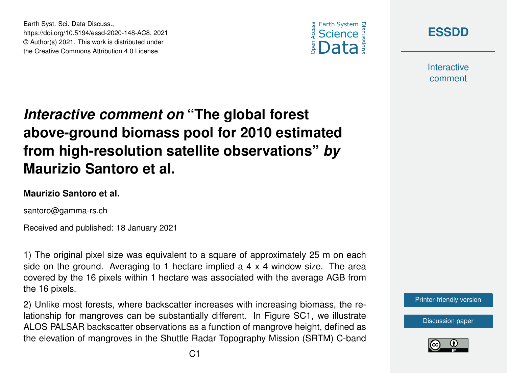



**Interactive** comment

## *Interactive comment on* **"The global forest above-ground biomass pool for 2010 estimated from high-resolution satellite observations"** *by* **Maurizio Santoro et al.**

## **Maurizio Santoro et al.**

Earth Syst. Sci. Data Discuss.,

https://doi.org/10.5194/essd-2020-148-AC8, 2021 © Author(s) 2021. This work is distributed under the Creative Commons Attribution 4.0 License.

santoro@gamma-rs.ch

Received and published: 18 January 2021

1) The original pixel size was equivalent to a square of approximately 25 m on each side on the ground. Averaging to 1 hectare implied a 4 x 4 window size. The area covered by the 16 pixels within 1 hectare was associated with the average AGB from the 16 pixels.

2) Unlike most forests, where backscatter increases with increasing biomass, the relationship for mangroves can be substantially different. In Figure SC1, we illustrate ALOS PALSAR backscatter observations as a function of mangrove height, defined as the elevation of mangroves in the Shuttle Radar Topography Mission (SRTM) C-band [Printer-friendly version](https://essd.copernicus.org/preprints/essd-2020-148/essd-2020-148-AC8-print.pdf)

[Discussion paper](https://essd.copernicus.org/preprints/essd-2020-148)

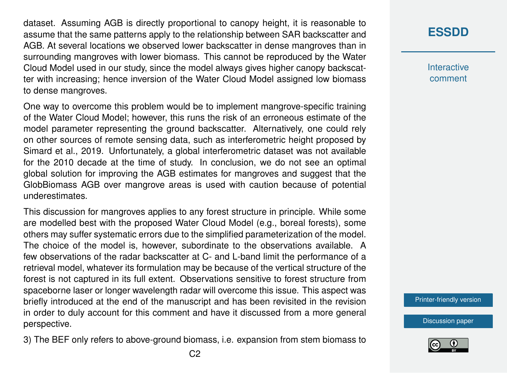dataset. Assuming AGB is directly proportional to canopy height, it is reasonable to assume that the same patterns apply to the relationship between SAR backscatter and AGB. At several locations we observed lower backscatter in dense mangroves than in surrounding mangroves with lower biomass. This cannot be reproduced by the Water Cloud Model used in our study, since the model always gives higher canopy backscatter with increasing; hence inversion of the Water Cloud Model assigned low biomass to dense mangroves.

One way to overcome this problem would be to implement mangrove-specific training of the Water Cloud Model; however, this runs the risk of an erroneous estimate of the model parameter representing the ground backscatter. Alternatively, one could rely on other sources of remote sensing data, such as interferometric height proposed by Simard et al., 2019. Unfortunately, a global interferometric dataset was not available for the 2010 decade at the time of study. In conclusion, we do not see an optimal global solution for improving the AGB estimates for mangroves and suggest that the GlobBiomass AGB over mangrove areas is used with caution because of potential underestimates.

This discussion for mangroves applies to any forest structure in principle. While some are modelled best with the proposed Water Cloud Model (e.g., boreal forests), some others may suffer systematic errors due to the simplified parameterization of the model. The choice of the model is, however, subordinate to the observations available. A few observations of the radar backscatter at C- and L-band limit the performance of a retrieval model, whatever its formulation may be because of the vertical structure of the forest is not captured in its full extent. Observations sensitive to forest structure from spaceborne laser or longer wavelength radar will overcome this issue. This aspect was briefly introduced at the end of the manuscript and has been revisited in the revision in order to duly account for this comment and have it discussed from a more general perspective.

3) The BEF only refers to above-ground biomass, i.e. expansion from stem biomass to

## **[ESSDD](https://essd.copernicus.org/preprints/)**

**Interactive** comment

[Printer-friendly version](https://essd.copernicus.org/preprints/essd-2020-148/essd-2020-148-AC8-print.pdf)

[Discussion paper](https://essd.copernicus.org/preprints/essd-2020-148)

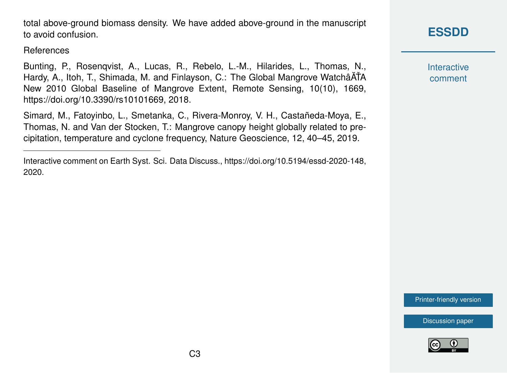total above-ground biomass density. We have added above-ground in the manuscript to avoid confusion.

References

Bunting, P., Rosenqvist, A., Lucas, R., Rebelo, L.-M., Hilarides, L., Thomas, N., Hardy, A., Itoh, T., Shimada, M. and Finlayson, C.: The Global Mangrove WatchâATA New 2010 Global Baseline of Mangrove Extent, Remote Sensing, 10(10), 1669, https://doi.org/10.3390/rs10101669, 2018.

Simard, M., Fatoyinbo, L., Smetanka, C., Rivera-Monroy, V. H., Castañeda-Moya, E., Thomas, N. and Van der Stocken, T.: Mangrove canopy height globally related to precipitation, temperature and cyclone frequency, Nature Geoscience, 12, 40–45, 2019.

## **[ESSDD](https://essd.copernicus.org/preprints/)**

**Interactive** comment

[Printer-friendly version](https://essd.copernicus.org/preprints/essd-2020-148/essd-2020-148-AC8-print.pdf)

[Discussion paper](https://essd.copernicus.org/preprints/essd-2020-148)



Interactive comment on Earth Syst. Sci. Data Discuss., https://doi.org/10.5194/essd-2020-148, 2020.